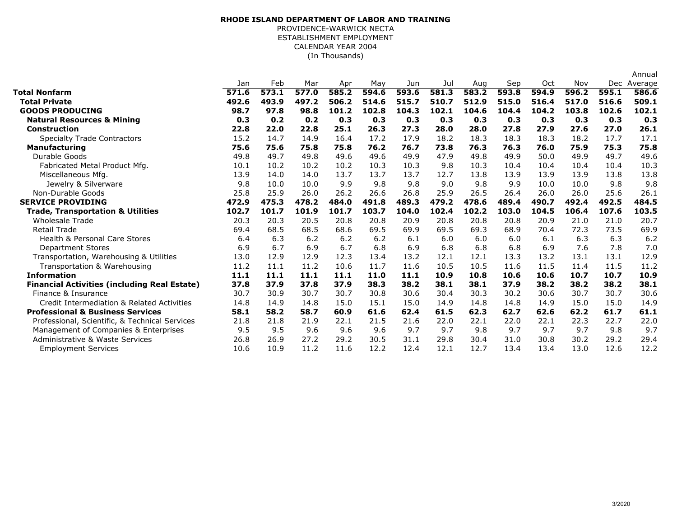## (In Thousands)**RHODE ISLAND DEPARTMENT OF LABOR AND TRAINING**PROVIDENCE-WARWICK NECTA ESTABLISHMENT EMPLOYMENTCALENDAR YEAR 2004

|                                                     |       |       |       |       |       |       |       |       |       |       |       |       | Annual      |
|-----------------------------------------------------|-------|-------|-------|-------|-------|-------|-------|-------|-------|-------|-------|-------|-------------|
|                                                     | Jan   | Feb   | Mar   | Apr   | May   | Jun   | Jul   | Aug   | Sep   | Oct   | Nov   |       | Dec Average |
| Total Nonfarm                                       | 571.6 | 573.1 | 577.0 | 585.2 | 594.6 | 593.6 | 581.3 | 583.2 | 593.8 | 594.9 | 596.2 | 595.1 | 586.6       |
| <b>Total Private</b>                                | 492.6 | 493.9 | 497.2 | 506.2 | 514.6 | 515.7 | 510.7 | 512.9 | 515.0 | 516.4 | 517.0 | 516.6 | 509.1       |
| <b>GOODS PRODUCING</b>                              | 98.7  | 97.8  | 98.8  | 101.2 | 102.8 | 104.3 | 102.1 | 104.6 | 104.4 | 104.2 | 103.8 | 102.6 | 102.1       |
| <b>Natural Resources &amp; Mining</b>               | 0.3   | 0.2   | 0.2   | 0.3   | 0.3   | 0.3   | 0.3   | 0.3   | 0.3   | 0.3   | 0.3   | 0.3   | 0.3         |
| <b>Construction</b>                                 | 22.8  | 22.0  | 22.8  | 25.1  | 26.3  | 27.3  | 28.0  | 28.0  | 27.8  | 27.9  | 27.6  | 27.0  | 26.1        |
| <b>Specialty Trade Contractors</b>                  | 15.2  | 14.7  | 14.9  | 16.4  | 17.2  | 17.9  | 18.2  | 18.3  | 18.3  | 18.3  | 18.2  | 17.7  | 17.1        |
| <b>Manufacturing</b>                                | 75.6  | 75.6  | 75.8  | 75.8  | 76.2  | 76.7  | 73.8  | 76.3  | 76.3  | 76.0  | 75.9  | 75.3  | 75.8        |
| Durable Goods                                       | 49.8  | 49.7  | 49.8  | 49.6  | 49.6  | 49.9  | 47.9  | 49.8  | 49.9  | 50.0  | 49.9  | 49.7  | 49.6        |
| Fabricated Metal Product Mfg.                       | 10.1  | 10.2  | 10.2  | 10.2  | 10.3  | 10.3  | 9.8   | 10.3  | 10.4  | 10.4  | 10.4  | 10.4  | 10.3        |
| Miscellaneous Mfg.                                  | 13.9  | 14.0  | 14.0  | 13.7  | 13.7  | 13.7  | 12.7  | 13.8  | 13.9  | 13.9  | 13.9  | 13.8  | 13.8        |
| Jewelry & Silverware                                | 9.8   | 10.0  | 10.0  | 9.9   | 9.8   | 9.8   | 9.0   | 9.8   | 9.9   | 10.0  | 10.0  | 9.8   | 9.8         |
| Non-Durable Goods                                   | 25.8  | 25.9  | 26.0  | 26.2  | 26.6  | 26.8  | 25.9  | 26.5  | 26.4  | 26.0  | 26.0  | 25.6  | 26.1        |
| <b>SERVICE PROVIDING</b>                            | 472.9 | 475.3 | 478.2 | 484.0 | 491.8 | 489.3 | 479.2 | 478.6 | 489.4 | 490.7 | 492.4 | 492.5 | 484.5       |
| <b>Trade, Transportation &amp; Utilities</b>        | 102.7 | 101.7 | 101.9 | 101.7 | 103.7 | 104.0 | 102.4 | 102.2 | 103.0 | 104.5 | 106.4 | 107.6 | 103.5       |
| <b>Wholesale Trade</b>                              | 20.3  | 20.3  | 20.5  | 20.8  | 20.8  | 20.9  | 20.8  | 20.8  | 20.8  | 20.9  | 21.0  | 21.0  | 20.7        |
| <b>Retail Trade</b>                                 | 69.4  | 68.5  | 68.5  | 68.6  | 69.5  | 69.9  | 69.5  | 69.3  | 68.9  | 70.4  | 72.3  | 73.5  | 69.9        |
| <b>Health &amp; Personal Care Stores</b>            | 6.4   | 6.3   | 6.2   | 6.2   | 6.2   | 6.1   | 6.0   | 6.0   | 6.0   | 6.1   | 6.3   | 6.3   | 6.2         |
| <b>Department Stores</b>                            | 6.9   | 6.7   | 6.9   | 6.7   | 6.8   | 6.9   | 6.8   | 6.8   | 6.8   | 6.9   | 7.6   | 7.8   | 7.0         |
| Transportation, Warehousing & Utilities             | 13.0  | 12.9  | 12.9  | 12.3  | 13.4  | 13.2  | 12.1  | 12.1  | 13.3  | 13.2  | 13.1  | 13.1  | 12.9        |
| Transportation & Warehousing                        | 11.2  | 11.1  | 11.2  | 10.6  | 11.7  | 11.6  | 10.5  | 10.5  | 11.6  | 11.5  | 11.4  | 11.5  | 11.2        |
| <b>Information</b>                                  | 11.1  | 11.1  | 11.1  | 11.1  | 11.0  | 11.1  | 10.9  | 10.8  | 10.6  | 10.6  | 10.7  | 10.7  | 10.9        |
| <b>Financial Activities (including Real Estate)</b> | 37.8  | 37.9  | 37.8  | 37.9  | 38.3  | 38.2  | 38.1  | 38.1  | 37.9  | 38.2  | 38.2  | 38.2  | 38.1        |
| Finance & Insurance                                 | 30.7  | 30.9  | 30.7  | 30.7  | 30.8  | 30.6  | 30.4  | 30.3  | 30.2  | 30.6  | 30.7  | 30.7  | 30.6        |
| Credit Intermediation & Related Activities          | 14.8  | 14.9  | 14.8  | 15.0  | 15.1  | 15.0  | 14.9  | 14.8  | 14.8  | 14.9  | 15.0  | 15.0  | 14.9        |
| <b>Professional &amp; Business Services</b>         | 58.1  | 58.2  | 58.7  | 60.9  | 61.6  | 62.4  | 61.5  | 62.3  | 62.7  | 62.6  | 62.2  | 61.7  | 61.1        |
| Professional, Scientific, & Technical Services      | 21.8  | 21.8  | 21.9  | 22.1  | 21.5  | 21.6  | 22.0  | 22.1  | 22.0  | 22.1  | 22.3  | 22.7  | 22.0        |
| Management of Companies & Enterprises               | 9.5   | 9.5   | 9.6   | 9.6   | 9.6   | 9.7   | 9.7   | 9.8   | 9.7   | 9.7   | 9.7   | 9.8   | 9.7         |
| Administrative & Waste Services                     | 26.8  | 26.9  | 27.2  | 29.2  | 30.5  | 31.1  | 29.8  | 30.4  | 31.0  | 30.8  | 30.2  | 29.2  | 29.4        |
| <b>Employment Services</b>                          | 10.6  | 10.9  | 11.2  | 11.6  | 12.2  | 12.4  | 12.1  | 12.7  | 13.4  | 13.4  | 13.0  | 12.6  | 12.2        |
|                                                     |       |       |       |       |       |       |       |       |       |       |       |       |             |